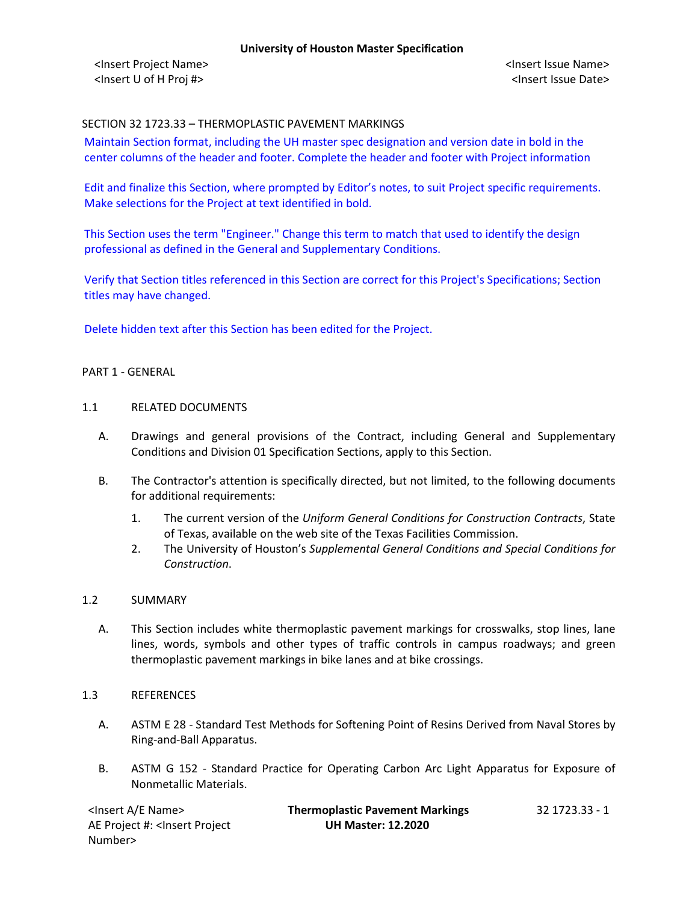<Insert Project Name> <Insert Issue Name> <Insert U of H Proj #> <Insert Issue Date>

## SECTION 32 1723.33 – THERMOPLASTIC PAVEMENT MARKINGS

Maintain Section format, including the UH master spec designation and version date in bold in the center columns of the header and footer. Complete the header and footer with Project information

Edit and finalize this Section, where prompted by Editor's notes, to suit Project specific requirements. Make selections for the Project at text identified in bold.

This Section uses the term "Engineer." Change this term to match that used to identify the design professional as defined in the General and Supplementary Conditions.

Verify that Section titles referenced in this Section are correct for this Project's Specifications; Section titles may have changed.

Delete hidden text after this Section has been edited for the Project.

#### PART 1 - GENERAL

#### 1.1 RELATED DOCUMENTS

- A. Drawings and general provisions of the Contract, including General and Supplementary Conditions and Division 01 Specification Sections, apply to this Section.
- B. The Contractor's attention is specifically directed, but not limited, to the following documents for additional requirements:
	- 1. The current version of the *Uniform General Conditions for Construction Contracts*, State of Texas, available on the web site of the Texas Facilities Commission.
	- 2. The University of Houston's *Supplemental General Conditions and Special Conditions for Construction*.

#### 1.2 SUMMARY

A. This Section includes white thermoplastic pavement markings for crosswalks, stop lines, lane lines, words, symbols and other types of traffic controls in campus roadways; and green thermoplastic pavement markings in bike lanes and at bike crossings.

#### 1.3 REFERENCES

- A. ASTM E 28 Standard Test Methods for Softening Point of Resins Derived from Naval Stores by Ring-and-Ball Apparatus.
- B. ASTM G 152 Standard Practice for Operating Carbon Arc Light Apparatus for Exposure of Nonmetallic Materials.

| <lnsert a="" e="" name=""></lnsert>                                                          | <b>Thermoplastic Pavement Markings</b> | -32 1723.33 - 1 |
|----------------------------------------------------------------------------------------------|----------------------------------------|-----------------|
| AE Project #: <lnsert project<="" th=""><th><b>UH Master: 12.2020</b></th><th></th></lnsert> | <b>UH Master: 12.2020</b>              |                 |
| Number>                                                                                      |                                        |                 |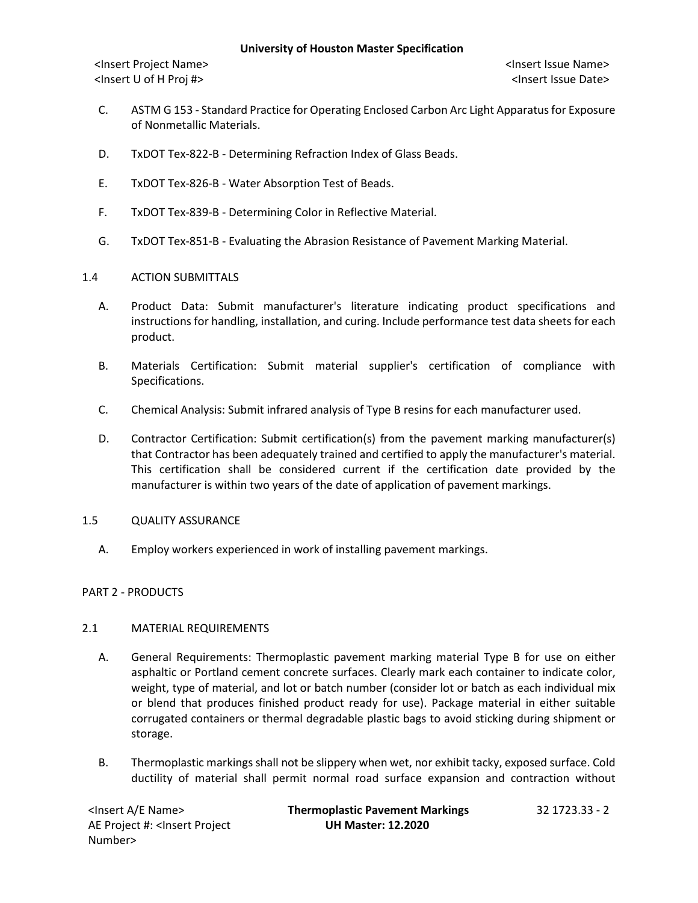<Insert Project Name> <Insert Issue Name> <Insert U of H Proj #> <Insert Issue Date>

- C. ASTM G 153 Standard Practice for Operating Enclosed Carbon Arc Light Apparatus for Exposure of Nonmetallic Materials.
- D. TxDOT Tex-822-B Determining Refraction Index of Glass Beads.
- E. TxDOT Tex-826-B Water Absorption Test of Beads.
- F. TxDOT Tex-839-B Determining Color in Reflective Material.
- G. TxDOT Tex-851-B Evaluating the Abrasion Resistance of Pavement Marking Material.

## 1.4 ACTION SUBMITTALS

- A. Product Data: Submit manufacturer's literature indicating product specifications and instructions for handling, installation, and curing. Include performance test data sheets for each product.
- B. Materials Certification: Submit material supplier's certification of compliance with Specifications.
- C. Chemical Analysis: Submit infrared analysis of Type B resins for each manufacturer used.
- D. Contractor Certification: Submit certification(s) from the pavement marking manufacturer(s) that Contractor has been adequately trained and certified to apply the manufacturer's material. This certification shall be considered current if the certification date provided by the manufacturer is within two years of the date of application of pavement markings.

#### 1.5 QUALITY ASSURANCE

A. Employ workers experienced in work of installing pavement markings.

# PART 2 - PRODUCTS

# 2.1 MATERIAL REQUIREMENTS

- A. General Requirements: Thermoplastic pavement marking material Type B for use on either asphaltic or Portland cement concrete surfaces. Clearly mark each container to indicate color, weight, type of material, and lot or batch number (consider lot or batch as each individual mix or blend that produces finished product ready for use). Package material in either suitable corrugated containers or thermal degradable plastic bags to avoid sticking during shipment or storage.
- B. Thermoplastic markings shall not be slippery when wet, nor exhibit tacky, exposed surface. Cold ductility of material shall permit normal road surface expansion and contraction without

AE Project #: <Insert Project Number>

<Insert A/E Name> **Thermoplastic Pavement Markings** 32 1723.33 - 2 **UH Master: 12.2020**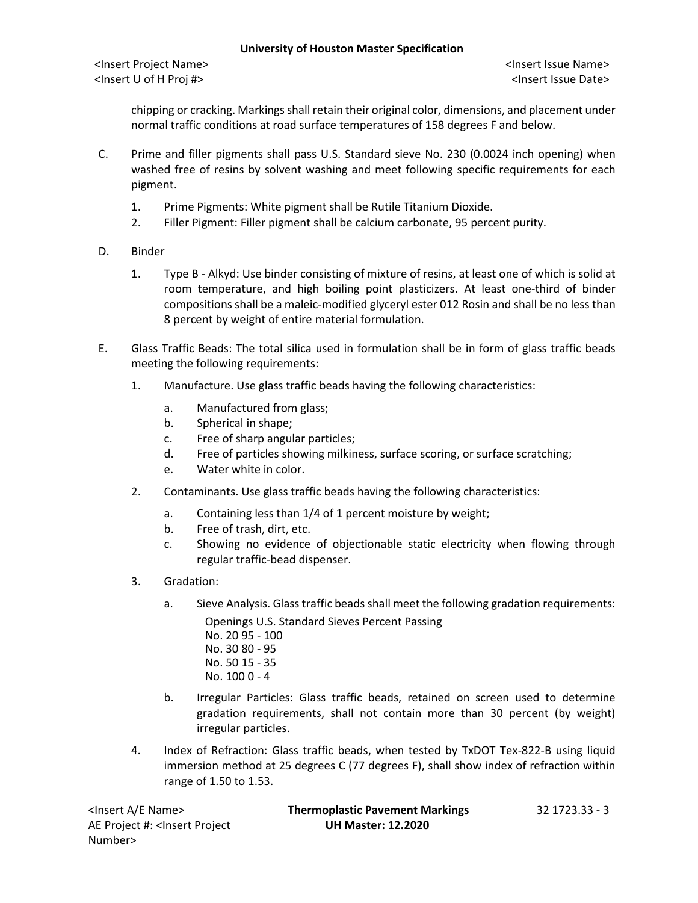<Insert Project Name> <Insert Issue Name> <Insert U of H Proj #> <Insert Issue Date>

chipping or cracking. Markings shall retain their original color, dimensions, and placement under normal traffic conditions at road surface temperatures of 158 degrees F and below.

- C. Prime and filler pigments shall pass U.S. Standard sieve No. 230 (0.0024 inch opening) when washed free of resins by solvent washing and meet following specific requirements for each pigment.
	- 1. Prime Pigments: White pigment shall be Rutile Titanium Dioxide.
	- 2. Filler Pigment: Filler pigment shall be calcium carbonate, 95 percent purity.
- D. Binder
	- 1. Type B Alkyd: Use binder consisting of mixture of resins, at least one of which is solid at room temperature, and high boiling point plasticizers. At least one-third of binder compositions shall be a maleic-modified glyceryl ester 012 Rosin and shall be no less than 8 percent by weight of entire material formulation.
- E. Glass Traffic Beads: The total silica used in formulation shall be in form of glass traffic beads meeting the following requirements:
	- 1. Manufacture. Use glass traffic beads having the following characteristics:
		- a. Manufactured from glass;
		- b. Spherical in shape;
		- c. Free of sharp angular particles;
		- d. Free of particles showing milkiness, surface scoring, or surface scratching;
		- e. Water white in color.
	- 2. Contaminants. Use glass traffic beads having the following characteristics:
		- a. Containing less than 1/4 of 1 percent moisture by weight;
		- b. Free of trash, dirt, etc.
		- c. Showing no evidence of objectionable static electricity when flowing through regular traffic-bead dispenser.
	- 3. Gradation:
		- a. Sieve Analysis. Glass traffic beads shall meet the following gradation requirements: Openings U.S. Standard Sieves Percent Passing No. 20 95 - 100 No. 30 80 - 95
			- No. 50 15 35
			- No. 100 0 4
		- b. Irregular Particles: Glass traffic beads, retained on screen used to determine gradation requirements, shall not contain more than 30 percent (by weight) irregular particles.
	- 4. Index of Refraction: Glass traffic beads, when tested by TxDOT Tex-822-B using liquid immersion method at 25 degrees C (77 degrees F), shall show index of refraction within range of 1.50 to 1.53.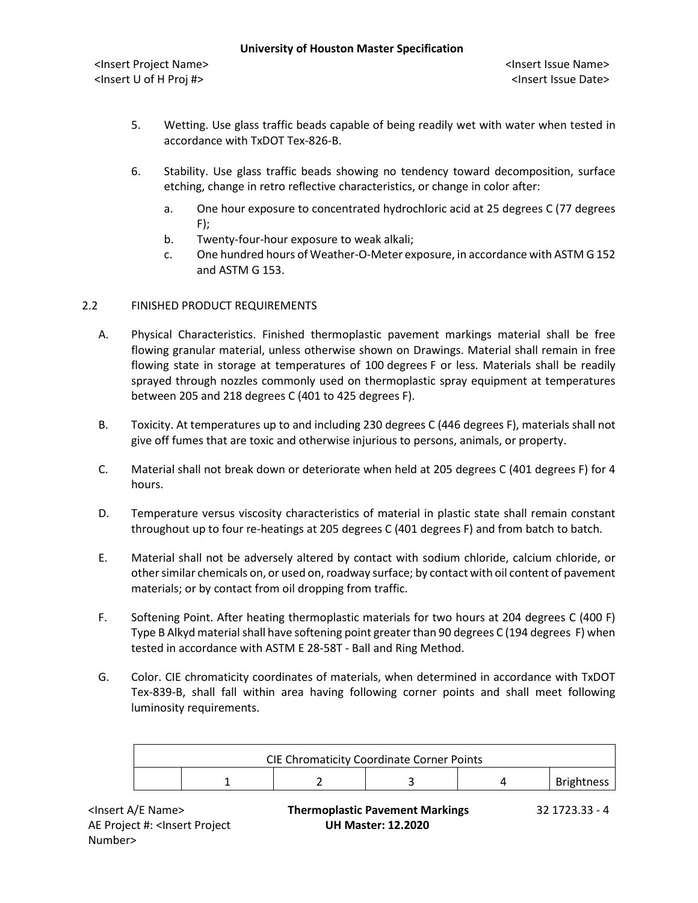- 5. Wetting. Use glass traffic beads capable of being readily wet with water when tested in accordance with TxDOT Tex-826-B.
- 6. Stability. Use glass traffic beads showing no tendency toward decomposition, surface etching, change in retro reflective characteristics, or change in color after:
	- a. One hour exposure to concentrated hydrochloric acid at 25 degrees C (77 degrees  $F$ );
	- b. Twenty-four-hour exposure to weak alkali;
	- c. One hundred hours of Weather-O-Meter exposure, in accordance with ASTM G 152 and ASTM G 153.

## 2.2 FINISHED PRODUCT REQUIREMENTS

- A. Physical Characteristics. Finished thermoplastic pavement markings material shall be free flowing granular material, unless otherwise shown on Drawings. Material shall remain in free flowing state in storage at temperatures of 100 degrees F or less. Materials shall be readily sprayed through nozzles commonly used on thermoplastic spray equipment at temperatures between 205 and 218 degrees C (401 to 425 degrees F).
- B. Toxicity. At temperatures up to and including 230 degrees C (446 degrees F), materials shall not give off fumes that are toxic and otherwise injurious to persons, animals, or property.
- C. Material shall not break down or deteriorate when held at 205 degrees C (401 degrees F) for 4 hours.
- D. Temperature versus viscosity characteristics of material in plastic state shall remain constant throughout up to four re-heatings at 205 degrees C (401 degrees F) and from batch to batch.
- E. Material shall not be adversely altered by contact with sodium chloride, calcium chloride, or other similar chemicals on, or used on, roadway surface; by contact with oil content of pavement materials; or by contact from oil dropping from traffic.
- F. Softening Point. After heating thermoplastic materials for two hours at 204 degrees C (400 F) Type B Alkyd material shall have softening point greater than 90 degrees C (194 degrees F) when tested in accordance with ASTM E 28-58T - Ball and Ring Method.
- G. Color. CIE chromaticity coordinates of materials, when determined in accordance with TxDOT Tex-839-B, shall fall within area having following corner points and shall meet following luminosity requirements.

| <b>CIE Chromaticity Coordinate Corner Points</b> |  |  |  |  |                   |
|--------------------------------------------------|--|--|--|--|-------------------|
|                                                  |  |  |  |  | <b>Brightness</b> |

AE Project #: <Insert Project Number>

<Insert A/E Name> **Thermoplastic Pavement Markings** 32 1723.33 - 4 **UH Master: 12.2020**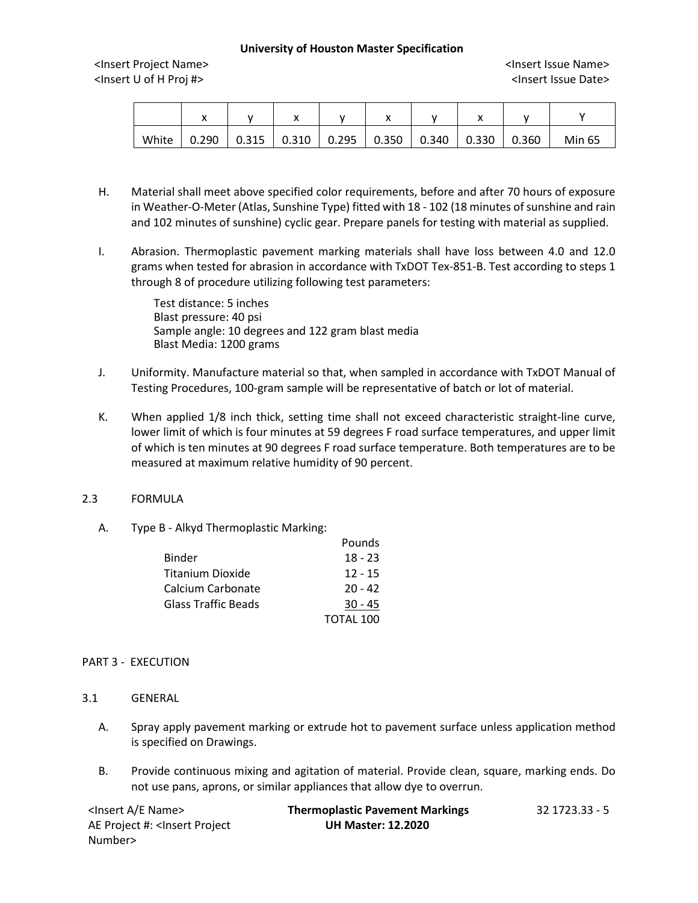<Insert Project Name> <Insert Issue Name> <Insert U of H Proj #> <Insert Issue Date>

|       | "     |                         | ,, |       | ,,    |       |       |       |        |
|-------|-------|-------------------------|----|-------|-------|-------|-------|-------|--------|
| White | 0.290 | $0.315$ $\vert$ $0.310$ |    | 0.295 | 0.350 | 0.340 | 0.330 | 0.360 | Min 65 |

- H. Material shall meet above specified color requirements, before and after 70 hours of exposure in Weather-O-Meter (Atlas, Sunshine Type) fitted with 18 - 102 (18 minutes of sunshine and rain and 102 minutes of sunshine) cyclic gear. Prepare panels for testing with material as supplied.
- I. Abrasion. Thermoplastic pavement marking materials shall have loss between 4.0 and 12.0 grams when tested for abrasion in accordance with TxDOT Tex-851-B. Test according to steps 1 through 8 of procedure utilizing following test parameters:

Test distance: 5 inches Blast pressure: 40 psi Sample angle: 10 degrees and 122 gram blast media Blast Media: 1200 grams

- J. Uniformity. Manufacture material so that, when sampled in accordance with TxDOT Manual of Testing Procedures, 100-gram sample will be representative of batch or lot of material.
- K. When applied 1/8 inch thick, setting time shall not exceed characteristic straight-line curve, lower limit of which is four minutes at 59 degrees F road surface temperatures, and upper limit of which is ten minutes at 90 degrees F road surface temperature. Both temperatures are to be measured at maximum relative humidity of 90 percent.

#### 2.3 FORMULA

A. Type B - Alkyd Thermoplastic Marking:

|                     | Pounds    |
|---------------------|-----------|
| Binder              | $18 - 23$ |
| Titanium Dioxide    | $12 - 15$ |
| Calcium Carbonate   | $20 - 42$ |
| Glass Traffic Beads | $30 - 45$ |
|                     | TOTAL 100 |

#### PART 3 - EXECUTION

- 3.1 GENERAL
	- A. Spray apply pavement marking or extrude hot to pavement surface unless application method is specified on Drawings.
	- B. Provide continuous mixing and agitation of material. Provide clean, square, marking ends. Do not use pans, aprons, or similar appliances that allow dye to overrun.

| <lnsert a="" e="" name=""></lnsert>                                                          | <b>Thermoplastic Pavement Markings</b> | 32 1723.33 - 5 |
|----------------------------------------------------------------------------------------------|----------------------------------------|----------------|
| AE Project #: <lnsert project<="" th=""><th><b>UH Master: 12.2020</b></th><th></th></lnsert> | <b>UH Master: 12.2020</b>              |                |
| Number>                                                                                      |                                        |                |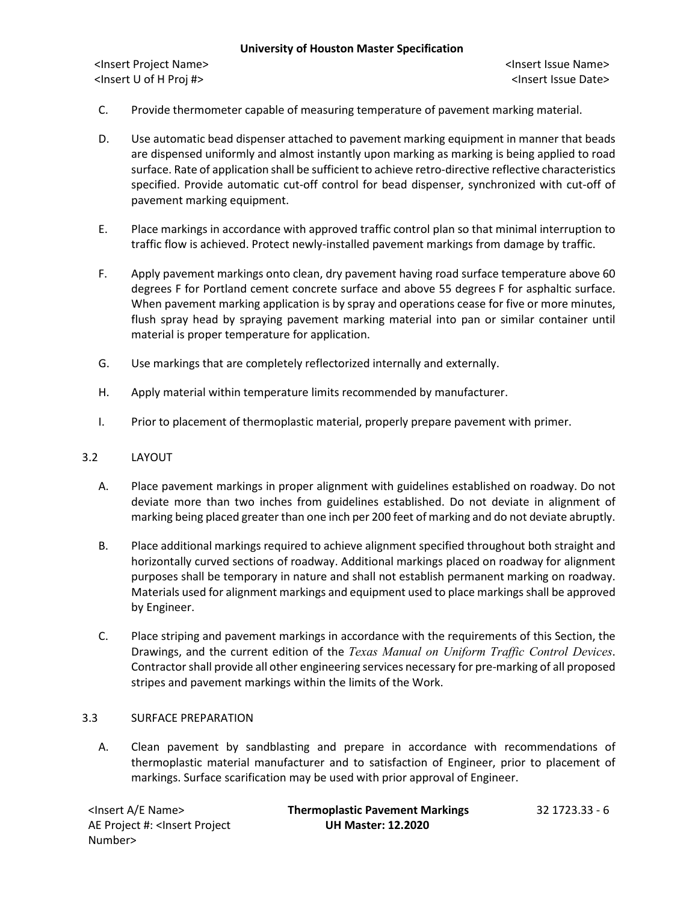<Insert Project Name> <Insert Issue Name> <Insert U of H Proj #> <Insert Issue Date>

- C. Provide thermometer capable of measuring temperature of pavement marking material.
- D. Use automatic bead dispenser attached to pavement marking equipment in manner that beads are dispensed uniformly and almost instantly upon marking as marking is being applied to road surface. Rate of application shall be sufficient to achieve retro-directive reflective characteristics specified. Provide automatic cut-off control for bead dispenser, synchronized with cut-off of pavement marking equipment.
- E. Place markings in accordance with approved traffic control plan so that minimal interruption to traffic flow is achieved. Protect newly-installed pavement markings from damage by traffic.
- F. Apply pavement markings onto clean, dry pavement having road surface temperature above 60 degrees F for Portland cement concrete surface and above 55 degrees F for asphaltic surface. When pavement marking application is by spray and operations cease for five or more minutes, flush spray head by spraying pavement marking material into pan or similar container until material is proper temperature for application.
- G. Use markings that are completely reflectorized internally and externally.
- H. Apply material within temperature limits recommended by manufacturer.
- I. Prior to placement of thermoplastic material, properly prepare pavement with primer.

### 3.2 LAYOUT

- A. Place pavement markings in proper alignment with guidelines established on roadway. Do not deviate more than two inches from guidelines established. Do not deviate in alignment of marking being placed greater than one inch per 200 feet of marking and do not deviate abruptly.
- B. Place additional markings required to achieve alignment specified throughout both straight and horizontally curved sections of roadway. Additional markings placed on roadway for alignment purposes shall be temporary in nature and shall not establish permanent marking on roadway. Materials used for alignment markings and equipment used to place markings shall be approved by Engineer.
- C. Place striping and pavement markings in accordance with the requirements of this Section, the Drawings, and the current edition of the *Texas Manual on Uniform Traffic Control Devices*. Contractor shall provide all other engineering services necessary for pre-marking of all proposed stripes and pavement markings within the limits of the Work.

#### 3.3 SURFACE PREPARATION

A. Clean pavement by sandblasting and prepare in accordance with recommendations of thermoplastic material manufacturer and to satisfaction of Engineer, prior to placement of markings. Surface scarification may be used with prior approval of Engineer.

| <lnsert a="" e="" name=""></lnsert>                                                          | <b>Thermoplastic Pavement Markings</b> | 32 1723.33 - 6 |
|----------------------------------------------------------------------------------------------|----------------------------------------|----------------|
| AE Project #: <lnsert project<="" th=""><th><b>UH Master: 12.2020</b></th><th></th></lnsert> | <b>UH Master: 12.2020</b>              |                |
| Number>                                                                                      |                                        |                |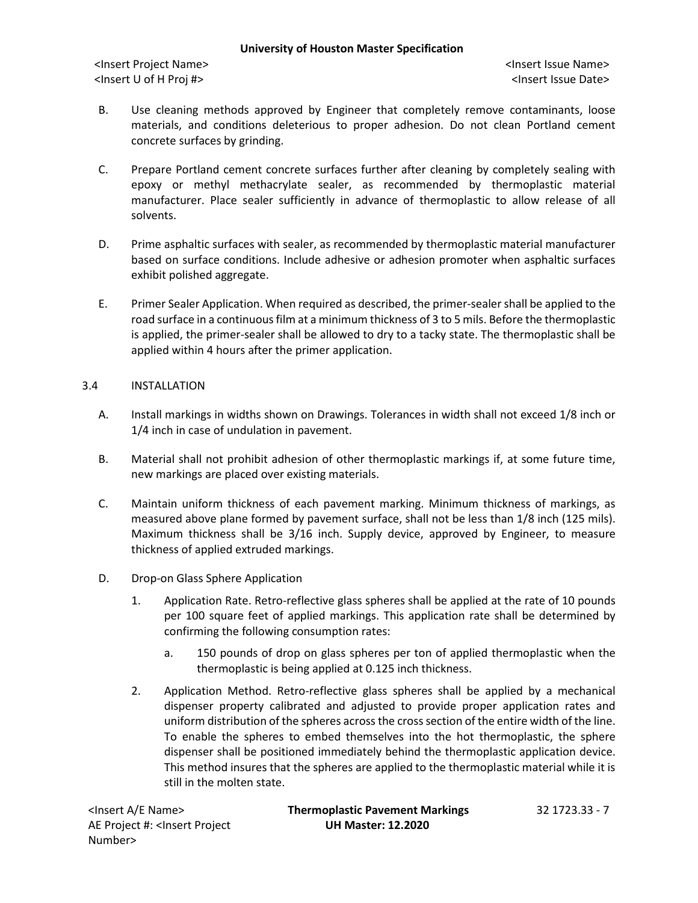<Insert Project Name> <Insert Issue Name> <Insert U of H Proj #> <Insert Issue Date>

- B. Use cleaning methods approved by Engineer that completely remove contaminants, loose materials, and conditions deleterious to proper adhesion. Do not clean Portland cement concrete surfaces by grinding.
- C. Prepare Portland cement concrete surfaces further after cleaning by completely sealing with epoxy or methyl methacrylate sealer, as recommended by thermoplastic material manufacturer. Place sealer sufficiently in advance of thermoplastic to allow release of all solvents.
- D. Prime asphaltic surfaces with sealer, as recommended by thermoplastic material manufacturer based on surface conditions. Include adhesive or adhesion promoter when asphaltic surfaces exhibit polished aggregate.
- E. Primer Sealer Application. When required as described, the primer-sealer shall be applied to the road surface in a continuous film at a minimum thickness of 3 to 5 mils. Before the thermoplastic is applied, the primer-sealer shall be allowed to dry to a tacky state. The thermoplastic shall be applied within 4 hours after the primer application.

## 3.4 INSTALLATION

- A. Install markings in widths shown on Drawings. Tolerances in width shall not exceed 1/8 inch or 1/4 inch in case of undulation in pavement.
- B. Material shall not prohibit adhesion of other thermoplastic markings if, at some future time, new markings are placed over existing materials.
- C. Maintain uniform thickness of each pavement marking. Minimum thickness of markings, as measured above plane formed by pavement surface, shall not be less than 1/8 inch (125 mils). Maximum thickness shall be 3/16 inch. Supply device, approved by Engineer, to measure thickness of applied extruded markings.
- D. Drop-on Glass Sphere Application
	- 1. Application Rate. Retro-reflective glass spheres shall be applied at the rate of 10 pounds per 100 square feet of applied markings. This application rate shall be determined by confirming the following consumption rates:
		- a. 150 pounds of drop on glass spheres per ton of applied thermoplastic when the thermoplastic is being applied at 0.125 inch thickness.
	- 2. Application Method. Retro-reflective glass spheres shall be applied by a mechanical dispenser property calibrated and adjusted to provide proper application rates and uniform distribution of the spheres across the cross section of the entire width of the line. To enable the spheres to embed themselves into the hot thermoplastic, the sphere dispenser shall be positioned immediately behind the thermoplastic application device. This method insures that the spheres are applied to the thermoplastic material while it is still in the molten state.